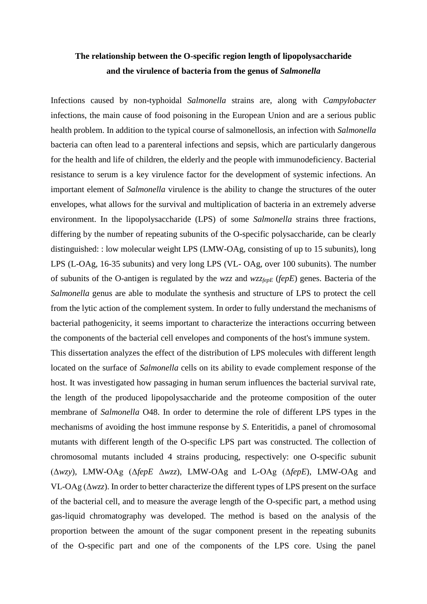## **The relationship between the O-specific region length of lipopolysaccharide and the virulence of bacteria from the genus of** *Salmonella*

Infections caused by non-typhoidal *Salmonella* strains are, along with *Campylobacter* infections, the main cause of food poisoning in the European Union and are a serious public health problem. In addition to the typical course of salmonellosis, an infection with *Salmonella*  bacteria can often lead to a parenteral infections and sepsis, which are particularly dangerous for the health and life of children, the elderly and the people with immunodeficiency. Bacterial resistance to serum is a key virulence factor for the development of systemic infections. An important element of *Salmonella* virulence is the ability to change the structures of the outer envelopes, what allows for the survival and multiplication of bacteria in an extremely adverse environment. In the lipopolysaccharide (LPS) of some *Salmonella* strains three fractions, differing by the number of repeating subunits of the O-specific polysaccharide, can be clearly distinguished: : low molecular weight LPS (LMW-OAg, consisting of up to 15 subunits), long LPS (L-OAg, 16-35 subunits) and very long LPS (VL- OAg, over 100 subunits). The number of subunits of the O-antigen is regulated by the *wzz* and *wzzfepE* (*fepE*) genes. Bacteria of the *Salmonella* genus are able to modulate the synthesis and structure of LPS to protect the cell from the lytic action of the complement system. In order to fully understand the mechanisms of bacterial pathogenicity, it seems important to characterize the interactions occurring between the components of the bacterial cell envelopes and components of the host's immune system.

This dissertation analyzes the effect of the distribution of LPS molecules with different length located on the surface of *Salmonella* cells on its ability to evade complement response of the host. It was investigated how passaging in human serum influences the bacterial survival rate, the length of the produced lipopolysaccharide and the proteome composition of the outer membrane of *Salmonella* O48. In order to determine the role of different LPS types in the mechanisms of avoiding the host immune response by *S*. Enteritidis, a panel of chromosomal mutants with different length of the O-specific LPS part was constructed. The collection of chromosomal mutants included 4 strains producing, respectively: one O-specific subunit (Δ*wzy*), LMW-OAg (Δ*fepE* Δ*wzz*), LMW-OAg and L-OAg (Δ*fepE*), LMW-OAg and VL-OAg (Δ*wzz*). In order to better characterize the different types of LPS present on the surface of the bacterial cell, and to measure the average length of the O-specific part, a method using gas-liquid chromatography was developed. The method is based on the analysis of the proportion between the amount of the sugar component present in the repeating subunits of the O-specific part and one of the components of the LPS core. Using the panel